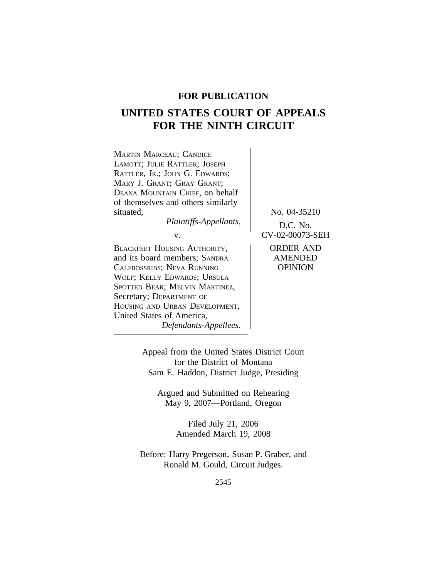# **FOR PUBLICATION**

# **UNITED STATES COURT OF APPEALS FOR THE NINTH CIRCUIT**



Appeal from the United States District Court for the District of Montana Sam E. Haddon, District Judge, Presiding

Argued and Submitted on Rehearing May 9, 2007—Portland, Oregon

> Filed July 21, 2006 Amended March 19, 2008

Before: Harry Pregerson, Susan P. Graber, and Ronald M. Gould, Circuit Judges.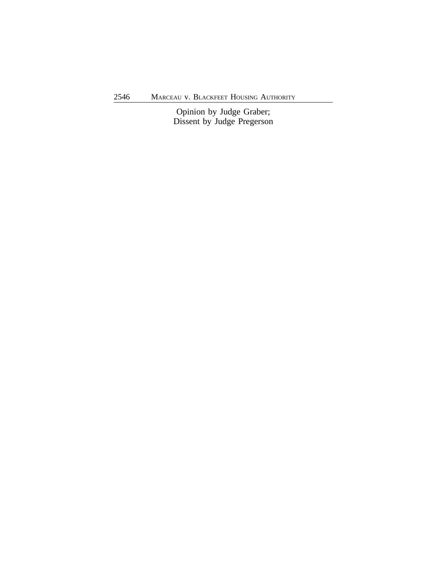Opinion by Judge Graber; Dissent by Judge Pregerson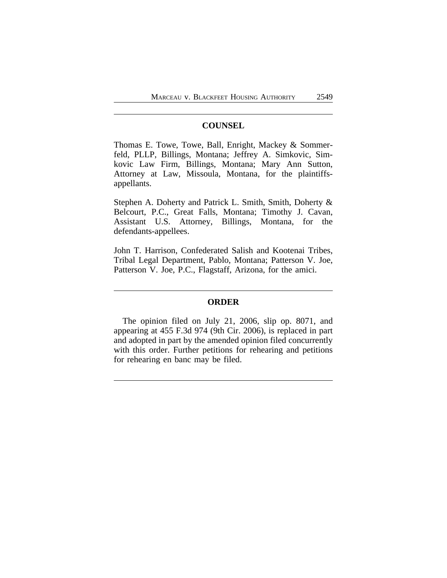# **COUNSEL**

Thomas E. Towe, Towe, Ball, Enright, Mackey & Sommerfeld, PLLP, Billings, Montana; Jeffrey A. Simkovic, Simkovic Law Firm, Billings, Montana; Mary Ann Sutton, Attorney at Law, Missoula, Montana, for the plaintiffsappellants.

Stephen A. Doherty and Patrick L. Smith, Smith, Doherty & Belcourt, P.C., Great Falls, Montana; Timothy J. Cavan, Assistant U.S. Attorney, Billings, Montana, for the defendants-appellees.

John T. Harrison, Confederated Salish and Kootenai Tribes, Tribal Legal Department, Pablo, Montana; Patterson V. Joe, Patterson V. Joe, P.C., Flagstaff, Arizona, for the amici.

# **ORDER**

The opinion filed on July 21, 2006, slip op. 8071, and appearing at 455 F.3d 974 (9th Cir. 2006), is replaced in part and adopted in part by the amended opinion filed concurrently with this order. Further petitions for rehearing and petitions for rehearing en banc may be filed.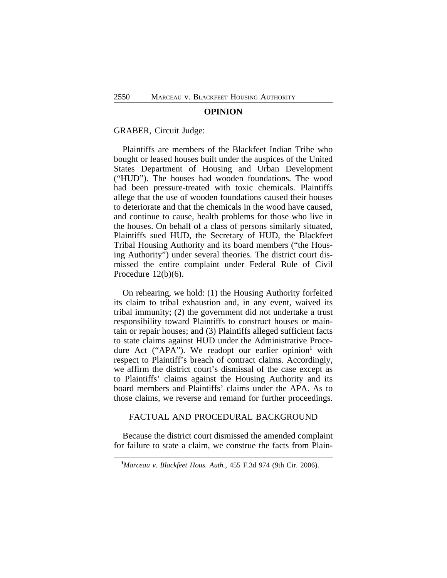#### **OPINION**

#### GRABER, Circuit Judge:

Plaintiffs are members of the Blackfeet Indian Tribe who bought or leased houses built under the auspices of the United States Department of Housing and Urban Development ("HUD"). The houses had wooden foundations. The wood had been pressure-treated with toxic chemicals. Plaintiffs allege that the use of wooden foundations caused their houses to deteriorate and that the chemicals in the wood have caused, and continue to cause, health problems for those who live in the houses. On behalf of a class of persons similarly situated, Plaintiffs sued HUD, the Secretary of HUD, the Blackfeet Tribal Housing Authority and its board members ("the Housing Authority") under several theories. The district court dismissed the entire complaint under Federal Rule of Civil Procedure 12(b)(6).

On rehearing, we hold: (1) the Housing Authority forfeited its claim to tribal exhaustion and, in any event, waived its tribal immunity; (2) the government did not undertake a trust responsibility toward Plaintiffs to construct houses or maintain or repair houses; and (3) Plaintiffs alleged sufficient facts to state claims against HUD under the Administrative Procedure Act ("APA"). We readopt our earlier opinion<sup>1</sup> with respect to Plaintiff's breach of contract claims. Accordingly, we affirm the district court's dismissal of the case except as to Plaintiffs' claims against the Housing Authority and its board members and Plaintiffs' claims under the APA. As to those claims, we reverse and remand for further proceedings.

# FACTUAL AND PROCEDURAL BACKGROUND

Because the district court dismissed the amended complaint for failure to state a claim, we construe the facts from Plain-

**<sup>1</sup>***Marceau v. Blackfeet Hous. Auth.*, 455 F.3d 974 (9th Cir. 2006).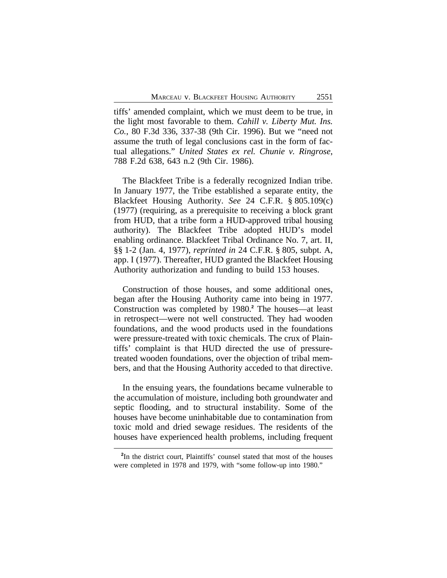tiffs' amended complaint, which we must deem to be true, in the light most favorable to them. *Cahill v. Liberty Mut. Ins. Co.*, 80 F.3d 336, 337-38 (9th Cir. 1996). But we "need not assume the truth of legal conclusions cast in the form of factual allegations." *United States ex rel. Chunie v. Ringrose*, 788 F.2d 638, 643 n.2 (9th Cir. 1986).

The Blackfeet Tribe is a federally recognized Indian tribe. In January 1977, the Tribe established a separate entity, the Blackfeet Housing Authority. *See* 24 C.F.R. § 805.109(c) (1977) (requiring, as a prerequisite to receiving a block grant from HUD, that a tribe form a HUD-approved tribal housing authority). The Blackfeet Tribe adopted HUD's model enabling ordinance. Blackfeet Tribal Ordinance No. 7, art. II, §§ 1-2 (Jan. 4, 1977), *reprinted in* 24 C.F.R. § 805, subpt. A, app. I (1977). Thereafter, HUD granted the Blackfeet Housing Authority authorization and funding to build 153 houses.

Construction of those houses, and some additional ones, began after the Housing Authority came into being in 1977. Construction was completed by 1980.**<sup>2</sup>** The houses—at least in retrospect—were not well constructed. They had wooden foundations, and the wood products used in the foundations were pressure-treated with toxic chemicals. The crux of Plaintiffs' complaint is that HUD directed the use of pressuretreated wooden foundations, over the objection of tribal members, and that the Housing Authority acceded to that directive.

In the ensuing years, the foundations became vulnerable to the accumulation of moisture, including both groundwater and septic flooding, and to structural instability. Some of the houses have become uninhabitable due to contamination from toxic mold and dried sewage residues. The residents of the houses have experienced health problems, including frequent

<sup>&</sup>lt;sup>2</sup>In the district court, Plaintiffs' counsel stated that most of the houses were completed in 1978 and 1979, with "some follow-up into 1980."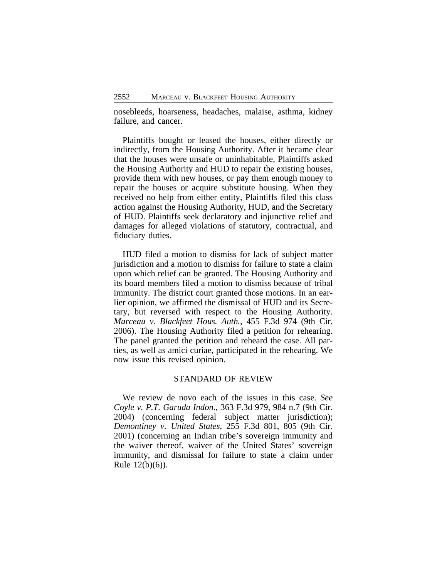nosebleeds, hoarseness, headaches, malaise, asthma, kidney failure, and cancer.

Plaintiffs bought or leased the houses, either directly or indirectly, from the Housing Authority. After it became clear that the houses were unsafe or uninhabitable, Plaintiffs asked the Housing Authority and HUD to repair the existing houses, provide them with new houses, or pay them enough money to repair the houses or acquire substitute housing. When they received no help from either entity, Plaintiffs filed this class action against the Housing Authority, HUD, and the Secretary of HUD. Plaintiffs seek declaratory and injunctive relief and damages for alleged violations of statutory, contractual, and fiduciary duties.

HUD filed a motion to dismiss for lack of subject matter jurisdiction and a motion to dismiss for failure to state a claim upon which relief can be granted. The Housing Authority and its board members filed a motion to dismiss because of tribal immunity. The district court granted those motions. In an earlier opinion, we affirmed the dismissal of HUD and its Secretary, but reversed with respect to the Housing Authority. *Marceau v. Blackfeet Hous. Auth.*, 455 F.3d 974 (9th Cir. 2006). The Housing Authority filed a petition for rehearing. The panel granted the petition and reheard the case. All parties, as well as amici curiae, participated in the rehearing. We now issue this revised opinion.

# STANDARD OF REVIEW

We review de novo each of the issues in this case. *See Coyle v. P.T. Garuda Indon.*, 363 F.3d 979, 984 n.7 (9th Cir. 2004) (concerning federal subject matter jurisdiction); *Demontiney v. United States*, 255 F.3d 801, 805 (9th Cir. 2001) (concerning an Indian tribe's sovereign immunity and the waiver thereof, waiver of the United States' sovereign immunity, and dismissal for failure to state a claim under Rule 12(b)(6)).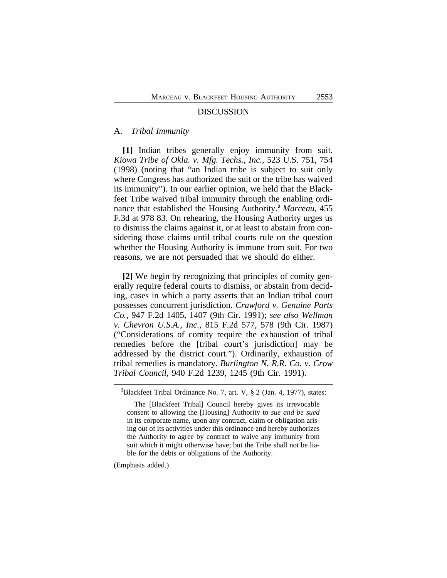#### DISCUSSION

## A. *Tribal Immunity*

**[1]** Indian tribes generally enjoy immunity from suit. *Kiowa Tribe of Okla. v. Mfg. Techs., Inc.*, 523 U.S. 751, 754 (1998) (noting that "an Indian tribe is subject to suit only where Congress has authorized the suit or the tribe has waived its immunity"). In our earlier opinion, we held that the Blackfeet Tribe waived tribal immunity through the enabling ordinance that established the Housing Authority.**<sup>3</sup>** *Marceau*, 455 F.3d at 978 83. On rehearing, the Housing Authority urges us to dismiss the claims against it, or at least to abstain from considering those claims until tribal courts rule on the question whether the Housing Authority is immune from suit. For two reasons, we are not persuaded that we should do either.

**[2]** We begin by recognizing that principles of comity generally require federal courts to dismiss, or abstain from deciding, cases in which a party asserts that an Indian tribal court possesses concurrent jurisdiction. *Crawford v. Genuine Parts Co.*, 947 F.2d 1405, 1407 (9th Cir. 1991); *see also Wellman v. Chevron U.S.A., Inc.*, 815 F.2d 577, 578 (9th Cir. 1987) ("Considerations of comity require the exhaustion of tribal remedies before the [tribal court's jurisdiction] may be addressed by the district court."). Ordinarily, exhaustion of tribal remedies is mandatory. *Burlington N. R.R. Co. v. Crow Tribal Council*, 940 F.2d 1239, 1245 (9th Cir. 1991).

(Emphasis added.)

**<sup>3</sup>**Blackfeet Tribal Ordinance No. 7, art. V, § 2 (Jan. 4, 1977), states:

The [Blackfeet Tribal] Council hereby gives its irrevocable consent to allowing the [Housing] Authority to *sue and be sued* in its corporate name, upon any contract, claim or obligation arising out of its activities under this ordinance and hereby authorizes the Authority to agree by contract to waive any immunity from suit which it might otherwise have; but the Tribe shall not be liable for the debts or obligations of the Authority.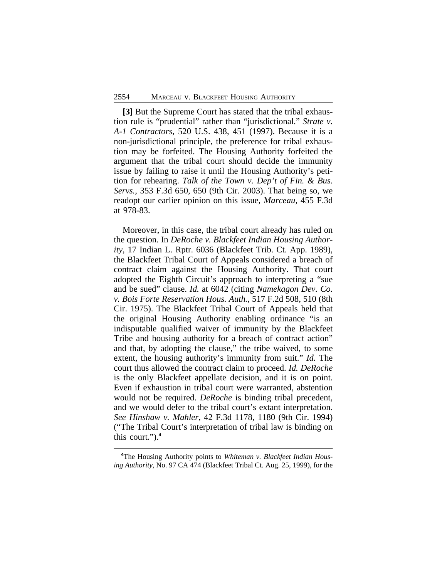**[3]** But the Supreme Court has stated that the tribal exhaustion rule is "prudential" rather than "jurisdictional." *Strate v. A-1 Contractors*, 520 U.S. 438, 451 (1997). Because it is a non-jurisdictional principle, the preference for tribal exhaustion may be forfeited. The Housing Authority forfeited the argument that the tribal court should decide the immunity issue by failing to raise it until the Housing Authority's petition for rehearing. *Talk of the Town v. Dep't of Fin. & Bus. Servs.*, 353 F.3d 650, 650 (9th Cir. 2003). That being so, we readopt our earlier opinion on this issue, *Marceau*, 455 F.3d at 978-83.

Moreover, in this case, the tribal court already has ruled on the question. In *DeRoche v. Blackfeet Indian Housing Authority*, 17 Indian L. Rptr. 6036 (Blackfeet Trib. Ct. App. 1989), the Blackfeet Tribal Court of Appeals considered a breach of contract claim against the Housing Authority. That court adopted the Eighth Circuit's approach to interpreting a "sue and be sued" clause. *Id.* at 6042 (citing *Namekagon Dev. Co. v. Bois Forte Reservation Hous. Auth.*, 517 F.2d 508, 510 (8th Cir. 1975). The Blackfeet Tribal Court of Appeals held that the original Housing Authority enabling ordinance "is an indisputable qualified waiver of immunity by the Blackfeet Tribe and housing authority for a breach of contract action" and that, by adopting the clause," the tribe waived, to some extent, the housing authority's immunity from suit." *Id.* The court thus allowed the contract claim to proceed. *Id. DeRoche* is the only Blackfeet appellate decision, and it is on point. Even if exhaustion in tribal court were warranted, abstention would not be required. *DeRoche* is binding tribal precedent, and we would defer to the tribal court's extant interpretation. *See Hinshaw v. Mahler*, 42 F.3d 1178, 1180 (9th Cir. 1994) ("The Tribal Court's interpretation of tribal law is binding on this court.").**<sup>4</sup>**

**<sup>4</sup>**The Housing Authority points to *Whiteman v. Blackfeet Indian Housing Authority*, No. 97 CA 474 (Blackfeet Tribal Ct. Aug. 25, 1999), for the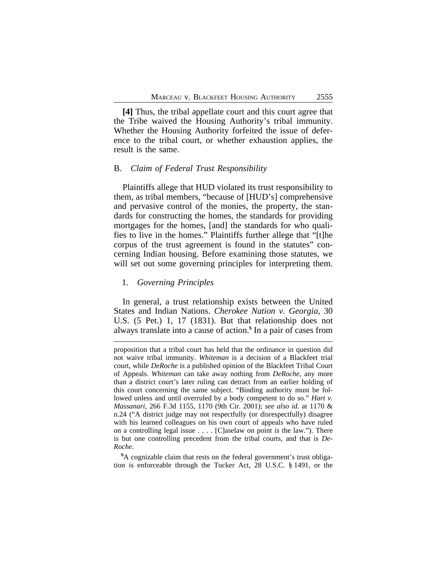**[4]** Thus, the tribal appellate court and this court agree that the Tribe waived the Housing Authority's tribal immunity. Whether the Housing Authority forfeited the issue of deference to the tribal court, or whether exhaustion applies, the result is the same.

# B. *Claim of Federal Trust Responsibility*

Plaintiffs allege that HUD violated its trust responsibility to them, as tribal members, "because of [HUD's] comprehensive and pervasive control of the monies, the property, the standards for constructing the homes, the standards for providing mortgages for the homes, [and] the standards for who qualifies to live in the homes." Plaintiffs further allege that "[t]he corpus of the trust agreement is found in the statutes" concerning Indian housing. Before examining those statutes, we will set out some governing principles for interpreting them.

# 1. *Governing Principles*

In general, a trust relationship exists between the United States and Indian Nations. *Cherokee Nation v. Georgia*, 30 U.S. (5 Pet.) 1, 17 (1831). But that relationship does not always translate into a cause of action.**<sup>5</sup>** In a pair of cases from

**<sup>5</sup>**A cognizable claim that rests on the federal government's trust obligation is enforceable through the Tucker Act, 28 U.S.C. § 1491, or the

proposition that a tribal court has held that the ordinance in question did not waive tribal immunity. *Whiteman* is a decision of a Blackfeet trial court, while *DeRoche* is a published opinion of the Blackfeet Tribal Court of Appeals. *Whiteman* can take away nothing from *DeRoche*, any more than a district court's later ruling can detract from an earlier holding of this court concerning the same subject. "Binding authority must be followed unless and until overruled by a body competent to do so." *Hart v. Massanari*, 266 F.3d 1155, 1170 (9th Cir. 2001); *see also id.* at 1170 & n.24 ("A district judge may not respectfully (or disrespectfully) disagree with his learned colleagues on his own court of appeals who have ruled on a controlling legal issue . . . . [C]aselaw on point *is* the law."). There is but one controlling precedent from the tribal courts, and that is *De-Roche*.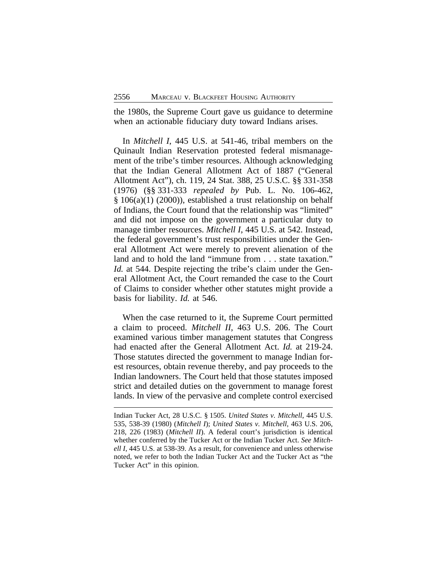the 1980s, the Supreme Court gave us guidance to determine when an actionable fiduciary duty toward Indians arises.

In *Mitchell I*, 445 U.S. at 541-46, tribal members on the Quinault Indian Reservation protested federal mismanagement of the tribe's timber resources. Although acknowledging that the Indian General Allotment Act of 1887 ("General Allotment Act"), ch. 119, 24 Stat. 388, 25 U.S.C. §§ 331-358 (1976) (§§ 331-333 *repealed by* Pub. L. No. 106-462, § 106(a)(1) (2000)), established a trust relationship on behalf of Indians, the Court found that the relationship was "limited" and did not impose on the government a particular duty to manage timber resources. *Mitchell I*, 445 U.S. at 542. Instead, the federal government's trust responsibilities under the General Allotment Act were merely to prevent alienation of the land and to hold the land "immune from . . . state taxation." *Id.* at 544. Despite rejecting the tribe's claim under the General Allotment Act, the Court remanded the case to the Court of Claims to consider whether other statutes might provide a basis for liability. *Id.* at 546.

When the case returned to it, the Supreme Court permitted a claim to proceed. *Mitchell II*, 463 U.S. 206. The Court examined various timber management statutes that Congress had enacted after the General Allotment Act. *Id.* at 219-24. Those statutes directed the government to manage Indian forest resources, obtain revenue thereby, and pay proceeds to the Indian landowners. The Court held that those statutes imposed strict and detailed duties on the government to manage forest lands. In view of the pervasive and complete control exercised

Indian Tucker Act, 28 U.S.C. § 1505. *United States v. Mitchell*, 445 U.S. 535, 538-39 (1980) (*Mitchell I*); *United States v. Mitchell*, 463 U.S. 206, 218, 226 (1983) (*Mitchell II*). A federal court's jurisdiction is identical whether conferred by the Tucker Act or the Indian Tucker Act. *See Mitchell I*, 445 U.S. at 538-39. As a result, for convenience and unless otherwise noted, we refer to both the Indian Tucker Act and the Tucker Act as "the Tucker Act" in this opinion.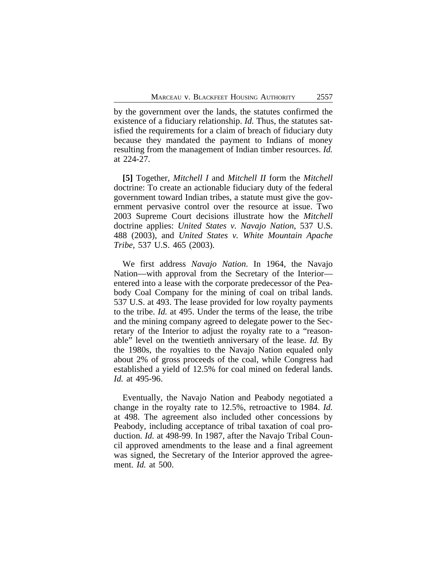by the government over the lands, the statutes confirmed the existence of a fiduciary relationship. *Id.* Thus, the statutes satisfied the requirements for a claim of breach of fiduciary duty because they mandated the payment to Indians of money resulting from the management of Indian timber resources. *Id.* at 224-27.

**[5]** Together, *Mitchell I* and *Mitchell II* form the *Mitchell* doctrine: To create an actionable fiduciary duty of the federal government toward Indian tribes, a statute must give the government pervasive control over the resource at issue. Two 2003 Supreme Court decisions illustrate how the *Mitchell* doctrine applies: *United States v. Navajo Nation*, 537 U.S. 488 (2003), and *United States v. White Mountain Apache Tribe*, 537 U.S. 465 (2003).

We first address *Navajo Nation*. In 1964, the Navajo Nation—with approval from the Secretary of the Interior entered into a lease with the corporate predecessor of the Peabody Coal Company for the mining of coal on tribal lands. 537 U.S. at 493. The lease provided for low royalty payments to the tribe. *Id.* at 495. Under the terms of the lease, the tribe and the mining company agreed to delegate power to the Secretary of the Interior to adjust the royalty rate to a "reasonable" level on the twentieth anniversary of the lease. *Id.* By the 1980s, the royalties to the Navajo Nation equaled only about 2% of gross proceeds of the coal, while Congress had established a yield of 12.5% for coal mined on federal lands. *Id.* at 495-96.

Eventually, the Navajo Nation and Peabody negotiated a change in the royalty rate to 12.5%, retroactive to 1984. *Id.* at 498. The agreement also included other concessions by Peabody, including acceptance of tribal taxation of coal production. *Id.* at 498-99. In 1987, after the Navajo Tribal Council approved amendments to the lease and a final agreement was signed, the Secretary of the Interior approved the agreement. *Id.* at 500.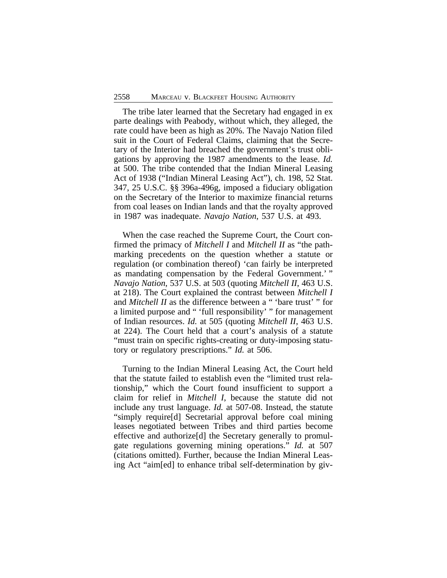The tribe later learned that the Secretary had engaged in ex parte dealings with Peabody, without which, they alleged, the rate could have been as high as 20%. The Navajo Nation filed suit in the Court of Federal Claims, claiming that the Secretary of the Interior had breached the government's trust obligations by approving the 1987 amendments to the lease. *Id.* at 500. The tribe contended that the Indian Mineral Leasing Act of 1938 ("Indian Mineral Leasing Act"), ch. 198, 52 Stat. 347, 25 U.S.C. §§ 396a-496g, imposed a fiduciary obligation on the Secretary of the Interior to maximize financial returns from coal leases on Indian lands and that the royalty approved in 1987 was inadequate. *Navajo Nation*, 537 U.S. at 493.

When the case reached the Supreme Court, the Court confirmed the primacy of *Mitchell I* and *Mitchell II* as "the pathmarking precedents on the question whether a statute or regulation (or combination thereof) 'can fairly be interpreted as mandating compensation by the Federal Government.' " *Navajo Nation*, 537 U.S. at 503 (quoting *Mitchell II*, 463 U.S. at 218). The Court explained the contrast between *Mitchell I* and *Mitchell II* as the difference between a " 'bare trust' " for a limited purpose and " 'full responsibility' " for management of Indian resources. *Id.* at 505 (quoting *Mitchell II*, 463 U.S. at 224). The Court held that a court's analysis of a statute "must train on specific rights-creating or duty-imposing statutory or regulatory prescriptions." *Id.* at 506.

Turning to the Indian Mineral Leasing Act, the Court held that the statute failed to establish even the "limited trust relationship," which the Court found insufficient to support a claim for relief in *Mitchell I*, because the statute did not include any trust language. *Id.* at 507-08. Instead, the statute "simply require[d] Secretarial approval before coal mining leases negotiated between Tribes and third parties become effective and authorize[d] the Secretary generally to promulgate regulations governing mining operations." *Id.* at 507 (citations omitted). Further, because the Indian Mineral Leasing Act "aim[ed] to enhance tribal self-determination by giv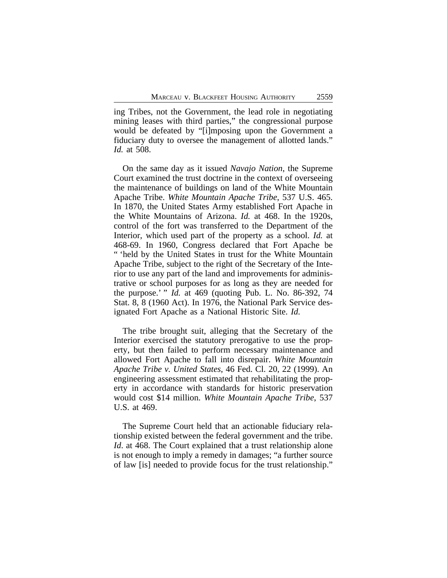ing Tribes, not the Government, the lead role in negotiating mining leases with third parties," the congressional purpose would be defeated by "[i]mposing upon the Government a fiduciary duty to oversee the management of allotted lands." *Id.* at 508.

On the same day as it issued *Navajo Nation*, the Supreme Court examined the trust doctrine in the context of overseeing the maintenance of buildings on land of the White Mountain Apache Tribe. *White Mountain Apache Tribe*, 537 U.S. 465. In 1870, the United States Army established Fort Apache in the White Mountains of Arizona. *Id.* at 468. In the 1920s, control of the fort was transferred to the Department of the Interior, which used part of the property as a school. *Id.* at 468-69. In 1960, Congress declared that Fort Apache be " 'held by the United States in trust for the White Mountain Apache Tribe, subject to the right of the Secretary of the Interior to use any part of the land and improvements for administrative or school purposes for as long as they are needed for the purpose.' " *Id.* at 469 (quoting Pub. L. No. 86-392, 74 Stat. 8, 8 (1960 Act). In 1976, the National Park Service designated Fort Apache as a National Historic Site. *Id.*

The tribe brought suit, alleging that the Secretary of the Interior exercised the statutory prerogative to use the property, but then failed to perform necessary maintenance and allowed Fort Apache to fall into disrepair. *White Mountain Apache Tribe v. United States*, 46 Fed. Cl. 20, 22 (1999). An engineering assessment estimated that rehabilitating the property in accordance with standards for historic preservation would cost \$14 million. *White Mountain Apache Tribe*, 537 U.S. at 469.

The Supreme Court held that an actionable fiduciary relationship existed between the federal government and the tribe. *Id*. at 468. The Court explained that a trust relationship alone is not enough to imply a remedy in damages; "a further source of law [is] needed to provide focus for the trust relationship."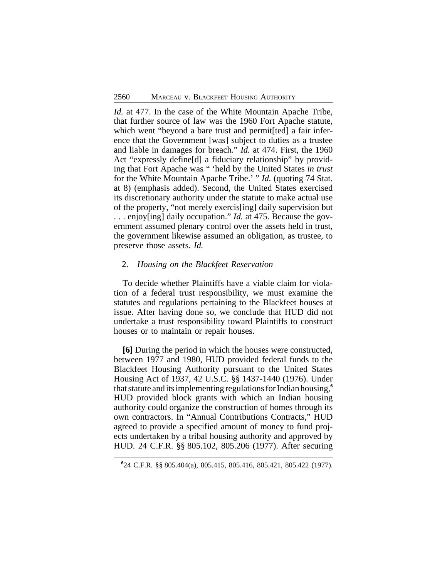*Id.* at 477. In the case of the White Mountain Apache Tribe, that further source of law was the 1960 Fort Apache statute, which went "beyond a bare trust and permit [ted] a fair inference that the Government [was] subject to duties as a trustee and liable in damages for breach." *Id.* at 474. First, the 1960 Act "expressly define[d] a fiduciary relationship" by providing that Fort Apache was " 'held by the United States *in trust* for the White Mountain Apache Tribe.' " *Id.* (quoting 74 Stat. at 8) (emphasis added). Second, the United States exercised its discretionary authority under the statute to make actual use of the property, "not merely exercis[ing] daily supervision but . . . enjoy[ing] daily occupation." *Id.* at 475. Because the government assumed plenary control over the assets held in trust, the government likewise assumed an obligation, as trustee, to preserve those assets. *Id.*

### 2. *Housing on the Blackfeet Reservation*

To decide whether Plaintiffs have a viable claim for violation of a federal trust responsibility, we must examine the statutes and regulations pertaining to the Blackfeet houses at issue. After having done so, we conclude that HUD did not undertake a trust responsibility toward Plaintiffs to construct houses or to maintain or repair houses.

**[6]** During the period in which the houses were constructed, between 1977 and 1980, HUD provided federal funds to the Blackfeet Housing Authority pursuant to the United States Housing Act of 1937, 42 U.S.C. §§ 1437-1440 (1976). Under that statute and its implementing regulations for Indian housing,**<sup>6</sup>** HUD provided block grants with which an Indian housing authority could organize the construction of homes through its own contractors. In "Annual Contributions Contracts," HUD agreed to provide a specified amount of money to fund projects undertaken by a tribal housing authority and approved by HUD. 24 C.F.R. §§ 805.102, 805.206 (1977). After securing

**<sup>6</sup>** 24 C.F.R. §§ 805.404(a), 805.415, 805.416, 805.421, 805.422 (1977).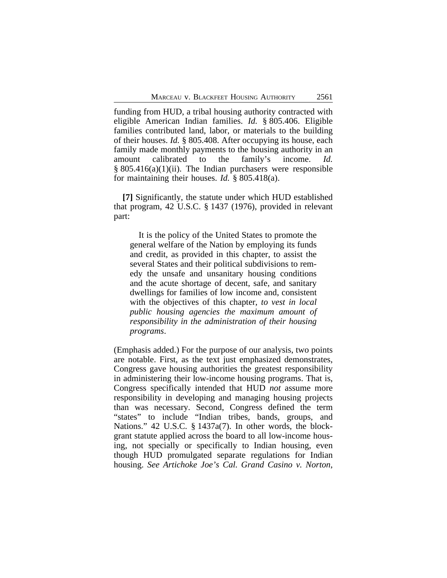funding from HUD, a tribal housing authority contracted with eligible American Indian families. *Id.* § 805.406. Eligible families contributed land, labor, or materials to the building of their houses. *Id.* § 805.408. After occupying its house, each family made monthly payments to the housing authority in an amount calibrated to the family's income. *Id.*  $§ 805.416(a)(1)(ii)$ . The Indian purchasers were responsible for maintaining their houses. *Id.* § 805.418(a).

**[7]** Significantly, the statute under which HUD established that program, 42 U.S.C. § 1437 (1976), provided in relevant part:

It is the policy of the United States to promote the general welfare of the Nation by employing its funds and credit, as provided in this chapter, to assist the several States and their political subdivisions to remedy the unsafe and unsanitary housing conditions and the acute shortage of decent, safe, and sanitary dwellings for families of low income and, consistent with the objectives of this chapter, *to vest in local public housing agencies the maximum amount of responsibility in the administration of their housing programs*.

(Emphasis added.) For the purpose of our analysis, two points are notable. First, as the text just emphasized demonstrates, Congress gave housing authorities the greatest responsibility in administering their low-income housing programs. That is, Congress specifically intended that HUD *not* assume more responsibility in developing and managing housing projects than was necessary. Second, Congress defined the term "states" to include "Indian tribes, bands, groups, and Nations." 42 U.S.C. § 1437a(7). In other words, the blockgrant statute applied across the board to all low-income housing, not specially or specifically to Indian housing, even though HUD promulgated separate regulations for Indian housing. *See Artichoke Joe's Cal. Grand Casino v. Norton*,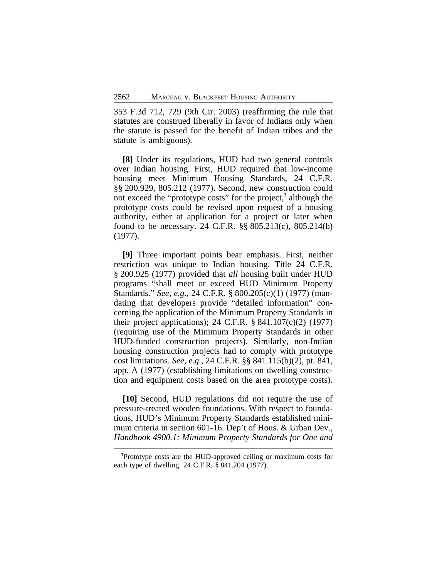353 F.3d 712, 729 (9th Cir. 2003) (reaffirming the rule that statutes are construed liberally in favor of Indians only when the statute is passed for the benefit of Indian tribes and the statute is ambiguous).

**[8]** Under its regulations, HUD had two general controls over Indian housing. First, HUD required that low-income housing meet Minimum Housing Standards, 24 C.F.R. §§ 200.929, 805.212 (1977). Second, new construction could not exceed the "prototype costs" for the project,**<sup>7</sup>** although the prototype costs could be revised upon request of a housing authority, either at application for a project or later when found to be necessary. 24 C.F.R. §§ 805.213(c), 805.214(b) (1977).

**[9]** Three important points bear emphasis. First, neither restriction was unique to Indian housing. Title 24 C.F.R. § 200.925 (1977) provided that *all* housing built under HUD programs "shall meet or exceed HUD Minimum Property Standards." *See, e.g.*, 24 C.F.R. § 800.205(c)(1) (1977) (mandating that developers provide "detailed information" concerning the application of the Minimum Property Standards in their project applications); 24 C.F.R. § 841.107(c)(2) (1977) (requiring use of the Minimum Property Standards in other HUD-funded construction projects). Similarly, non-Indian housing construction projects had to comply with prototype cost limitations. *See, e.g.*, 24 C.F.R. §§ 841.115(b)(2), pt. 841, app. A (1977) (establishing limitations on dwelling construction and equipment costs based on the area prototype costs).

**[10]** Second, HUD regulations did not require the use of pressure-treated wooden foundations. With respect to foundations, HUD's Minimum Property Standards established minimum criteria in section 601-16. Dep't of Hous. & Urban Dev., *Handbook 4900.1: Minimum Property Standards for One and*

**<sup>7</sup>**Prototype costs are the HUD-approved ceiling or maximum costs for each type of dwelling. 24 C.F.R. § 841.204 (1977).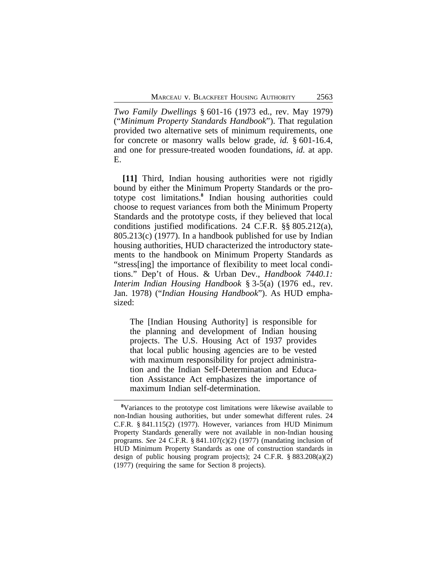*Two Family Dwellings* § 601-16 (1973 ed., rev. May 1979) ("*Minimum Property Standards Handbook*"). That regulation provided two alternative sets of minimum requirements, one for concrete or masonry walls below grade, *id.* § 601-16.4, and one for pressure-treated wooden foundations, *id.* at app. E.

**[11]** Third, Indian housing authorities were not rigidly bound by either the Minimum Property Standards or the prototype cost limitations.**<sup>8</sup>** Indian housing authorities could choose to request variances from both the Minimum Property Standards and the prototype costs, if they believed that local conditions justified modifications. 24 C.F.R. §§ 805.212(a), 805.213(c) (1977). In a handbook published for use by Indian housing authorities, HUD characterized the introductory statements to the handbook on Minimum Property Standards as "stress[ing] the importance of flexibility to meet local conditions." Dep't of Hous. & Urban Dev., *Handbook 7440.1: Interim Indian Housing Handbook* § 3-5(a) (1976 ed., rev. Jan. 1978) ("*Indian Housing Handbook*"). As HUD emphasized:

The [Indian Housing Authority] is responsible for the planning and development of Indian housing projects. The U.S. Housing Act of 1937 provides that local public housing agencies are to be vested with maximum responsibility for project administration and the Indian Self-Determination and Education Assistance Act emphasizes the importance of maximum Indian self-determination.

**<sup>8</sup>**Variances to the prototype cost limitations were likewise available to non-Indian housing authorities, but under somewhat different rules. 24 C.F.R. § 841.115(2) (1977). However, variances from HUD Minimum Property Standards generally were not available in non-Indian housing programs. *See* 24 C.F.R. § 841.107(c)(2) (1977) (mandating inclusion of HUD Minimum Property Standards as one of construction standards in design of public housing program projects); 24 C.F.R. § 883.208(a)(2) (1977) (requiring the same for Section 8 projects).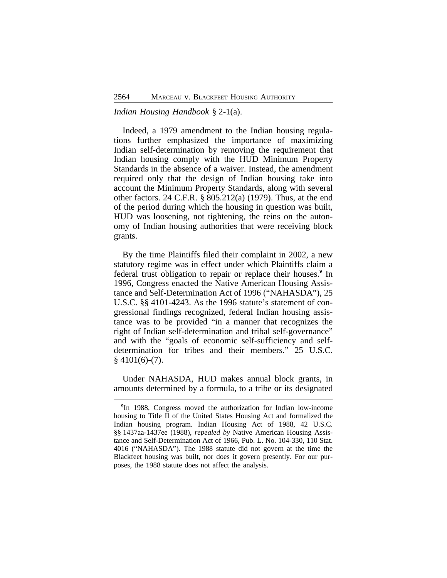# *Indian Housing Handbook* § 2-1(a).

Indeed, a 1979 amendment to the Indian housing regulations further emphasized the importance of maximizing Indian self-determination by removing the requirement that Indian housing comply with the HUD Minimum Property Standards in the absence of a waiver. Instead, the amendment required only that the design of Indian housing take into account the Minimum Property Standards, along with several other factors. 24 C.F.R. § 805.212(a) (1979). Thus, at the end of the period during which the housing in question was built, HUD was loosening, not tightening, the reins on the autonomy of Indian housing authorities that were receiving block grants.

By the time Plaintiffs filed their complaint in 2002, a new statutory regime was in effect under which Plaintiffs claim a federal trust obligation to repair or replace their houses.**<sup>9</sup>** In 1996, Congress enacted the Native American Housing Assistance and Self-Determination Act of 1996 ("NAHASDA"), 25 U.S.C. §§ 4101-4243. As the 1996 statute's statement of congressional findings recognized, federal Indian housing assistance was to be provided "in a manner that recognizes the right of Indian self-determination and tribal self-governance" and with the "goals of economic self-sufficiency and selfdetermination for tribes and their members." 25 U.S.C.  $§$  4101(6)-(7).

Under NAHASDA, HUD makes annual block grants, in amounts determined by a formula, to a tribe or its designated

**<sup>9</sup>** In 1988, Congress moved the authorization for Indian low-income housing to Title II of the United States Housing Act and formalized the Indian housing program. Indian Housing Act of 1988, 42 U.S.C. §§ 1437aa-1437ee (1988), *repealed by* Native American Housing Assistance and Self-Determination Act of 1966, Pub. L. No. 104-330, 110 Stat. 4016 ("NAHASDA"). The 1988 statute did not govern at the time the Blackfeet housing was built, nor does it govern presently. For our purposes, the 1988 statute does not affect the analysis.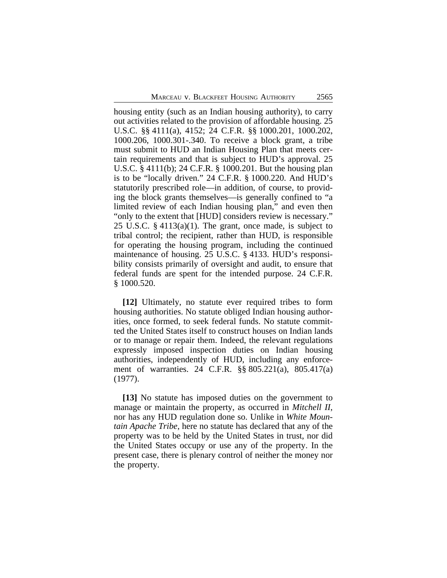housing entity (such as an Indian housing authority), to carry out activities related to the provision of affordable housing. 25 U.S.C. §§ 4111(a), 4152; 24 C.F.R. §§ 1000.201, 1000.202, 1000.206, 1000.301-.340. To receive a block grant, a tribe must submit to HUD an Indian Housing Plan that meets certain requirements and that is subject to HUD's approval. 25 U.S.C. § 4111(b); 24 C.F.R. § 1000.201. But the housing plan is to be "locally driven." 24 C.F.R. § 1000.220. And HUD's statutorily prescribed role—in addition, of course, to providing the block grants themselves—is generally confined to "a limited review of each Indian housing plan," and even then "only to the extent that [HUD] considers review is necessary." 25 U.S.C. § 4113(a)(1). The grant, once made, is subject to tribal control; the recipient, rather than HUD, is responsible for operating the housing program, including the continued maintenance of housing. 25 U.S.C. § 4133. HUD's responsibility consists primarily of oversight and audit, to ensure that federal funds are spent for the intended purpose. 24 C.F.R. § 1000.520.

**[12]** Ultimately, no statute ever required tribes to form housing authorities. No statute obliged Indian housing authorities, once formed, to seek federal funds. No statute committed the United States itself to construct houses on Indian lands or to manage or repair them. Indeed, the relevant regulations expressly imposed inspection duties on Indian housing authorities, independently of HUD, including any enforcement of warranties. 24 C.F.R. §§ 805.221(a), 805.417(a) (1977).

**[13]** No statute has imposed duties on the government to manage or maintain the property, as occurred in *Mitchell II*, nor has any HUD regulation done so. Unlike in *White Mountain Apache Tribe*, here no statute has declared that any of the property was to be held by the United States in trust, nor did the United States occupy or use any of the property. In the present case, there is plenary control of neither the money nor the property.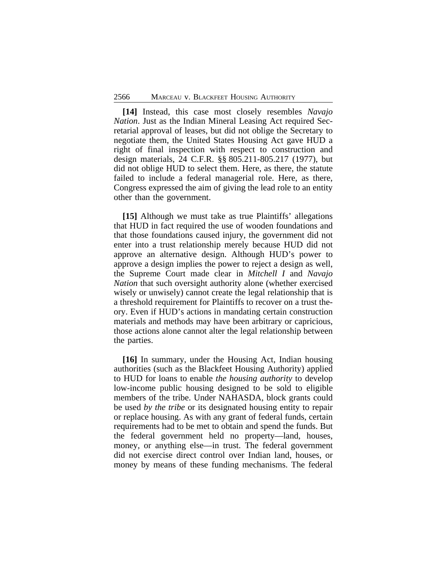**[14]** Instead, this case most closely resembles *Navajo Nation*. Just as the Indian Mineral Leasing Act required Secretarial approval of leases, but did not oblige the Secretary to negotiate them, the United States Housing Act gave HUD a right of final inspection with respect to construction and design materials, 24 C.F.R. §§ 805.211-805.217 (1977), but did not oblige HUD to select them. Here, as there, the statute failed to include a federal managerial role. Here, as there, Congress expressed the aim of giving the lead role to an entity other than the government.

**[15]** Although we must take as true Plaintiffs' allegations that HUD in fact required the use of wooden foundations and that those foundations caused injury, the government did not enter into a trust relationship merely because HUD did not approve an alternative design. Although HUD's power to approve a design implies the power to reject a design as well, the Supreme Court made clear in *Mitchell I* and *Navajo Nation* that such oversight authority alone (whether exercised wisely or unwisely) cannot create the legal relationship that is a threshold requirement for Plaintiffs to recover on a trust theory. Even if HUD's actions in mandating certain construction materials and methods may have been arbitrary or capricious, those actions alone cannot alter the legal relationship between the parties.

**[16]** In summary, under the Housing Act, Indian housing authorities (such as the Blackfeet Housing Authority) applied to HUD for loans to enable *the housing authority* to develop low-income public housing designed to be sold to eligible members of the tribe. Under NAHASDA, block grants could be used *by the tribe* or its designated housing entity to repair or replace housing. As with any grant of federal funds, certain requirements had to be met to obtain and spend the funds. But the federal government held no property—land, houses, money, or anything else—in trust. The federal government did not exercise direct control over Indian land, houses, or money by means of these funding mechanisms. The federal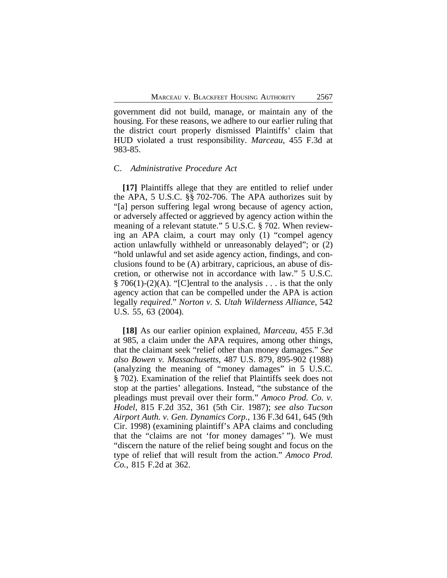government did not build, manage, or maintain any of the housing. For these reasons, we adhere to our earlier ruling that the district court properly dismissed Plaintiffs' claim that HUD violated a trust responsibility. *Marceau*, 455 F.3d at 983-85.

#### C. *Administrative Procedure Act*

**[17]** Plaintiffs allege that they are entitled to relief under the APA, 5 U.S.C. §§ 702-706. The APA authorizes suit by "[a] person suffering legal wrong because of agency action, or adversely affected or aggrieved by agency action within the meaning of a relevant statute." 5 U.S.C. § 702. When reviewing an APA claim, a court may only (1) "compel agency action unlawfully withheld or unreasonably delayed"; or (2) "hold unlawful and set aside agency action, findings, and conclusions found to be (A) arbitrary, capricious, an abuse of discretion, or otherwise not in accordance with law." 5 U.S.C.  $\S 706(1)-(2)(A)$ . "[C]entral to the analysis . . . is that the only agency action that can be compelled under the APA is action legally *required*." *Norton v. S. Utah Wilderness Alliance*, 542 U.S. 55, 63 (2004).

**[18]** As our earlier opinion explained, *Marceau*, 455 F.3d at 985, a claim under the APA requires, among other things, that the claimant seek "relief other than money damages." *See also Bowen v. Massachusetts*, 487 U.S. 879, 895-902 (1988) (analyzing the meaning of "money damages" in 5 U.S.C. § 702). Examination of the relief that Plaintiffs seek does not stop at the parties' allegations. Instead, "the substance of the pleadings must prevail over their form." *Amoco Prod. Co. v. Hodel*, 815 F.2d 352, 361 (5th Cir. 1987); *see also Tucson Airport Auth. v. Gen. Dynamics Corp.*, 136 F.3d 641, 645 (9th Cir. 1998) (examining plaintiff's APA claims and concluding that the "claims are not 'for money damages' "). We must "discern the nature of the relief being sought and focus on the type of relief that will result from the action." *Amoco Prod. Co.*, 815 F.2d at 362.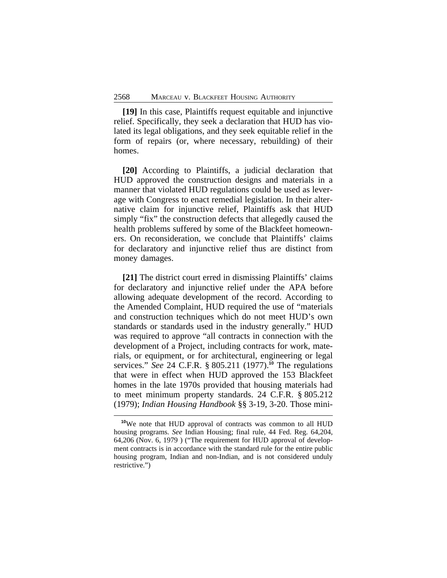**[19]** In this case, Plaintiffs request equitable and injunctive relief. Specifically, they seek a declaration that HUD has violated its legal obligations, and they seek equitable relief in the form of repairs (or, where necessary, rebuilding) of their homes.

**[20]** According to Plaintiffs, a judicial declaration that HUD approved the construction designs and materials in a manner that violated HUD regulations could be used as leverage with Congress to enact remedial legislation. In their alternative claim for injunctive relief, Plaintiffs ask that HUD simply "fix" the construction defects that allegedly caused the health problems suffered by some of the Blackfeet homeowners. On reconsideration, we conclude that Plaintiffs' claims for declaratory and injunctive relief thus are distinct from money damages.

**[21]** The district court erred in dismissing Plaintiffs' claims for declaratory and injunctive relief under the APA before allowing adequate development of the record. According to the Amended Complaint, HUD required the use of "materials and construction techniques which do not meet HUD's own standards or standards used in the industry generally." HUD was required to approve "all contracts in connection with the development of a Project, including contracts for work, materials, or equipment, or for architectural, engineering or legal services." *See* 24 C.F.R. § 805.211 (1977).**<sup>10</sup>** The regulations that were in effect when HUD approved the 153 Blackfeet homes in the late 1970s provided that housing materials had to meet minimum property standards. 24 C.F.R. § 805.212 (1979); *Indian Housing Handbook* §§ 3-19, 3-20. Those mini-

**<sup>10</sup>**We note that HUD approval of contracts was common to all HUD housing programs. *See* Indian Housing; final rule, 44 Fed. Reg. 64,204, 64,206 (Nov. 6, 1979 ) ("The requirement for HUD approval of development contracts is in accordance with the standard rule for the entire public housing program, Indian and non-Indian, and is not considered unduly restrictive.")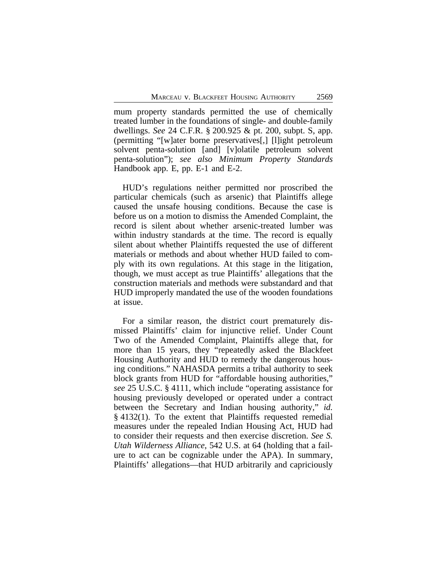mum property standards permitted the use of chemically treated lumber in the foundations of single- and double-family dwellings. *See* 24 C.F.R. § 200.925 & pt. 200, subpt. S, app. (permitting "[w]ater borne preservatives[,] [l]ight petroleum solvent penta-solution [and] [v]olatile petroleum solvent penta-solution"); *see also Minimum Property Standards* Handbook app. E, pp. E-1 and E-2.

HUD's regulations neither permitted nor proscribed the particular chemicals (such as arsenic) that Plaintiffs allege caused the unsafe housing conditions. Because the case is before us on a motion to dismiss the Amended Complaint, the record is silent about whether arsenic-treated lumber was within industry standards at the time. The record is equally silent about whether Plaintiffs requested the use of different materials or methods and about whether HUD failed to comply with its own regulations. At this stage in the litigation, though, we must accept as true Plaintiffs' allegations that the construction materials and methods were substandard and that HUD improperly mandated the use of the wooden foundations at issue.

For a similar reason, the district court prematurely dismissed Plaintiffs' claim for injunctive relief. Under Count Two of the Amended Complaint, Plaintiffs allege that, for more than 15 years, they "repeatedly asked the Blackfeet Housing Authority and HUD to remedy the dangerous housing conditions." NAHASDA permits a tribal authority to seek block grants from HUD for "affordable housing authorities," *see* 25 U.S.C. § 4111, which include "operating assistance for housing previously developed or operated under a contract between the Secretary and Indian housing authority," *id.* § 4132(1). To the extent that Plaintiffs requested remedial measures under the repealed Indian Housing Act, HUD had to consider their requests and then exercise discretion. *See S. Utah Wilderness Alliance*, 542 U.S. at 64 (holding that a failure to act can be cognizable under the APA). In summary, Plaintiffs' allegations—that HUD arbitrarily and capriciously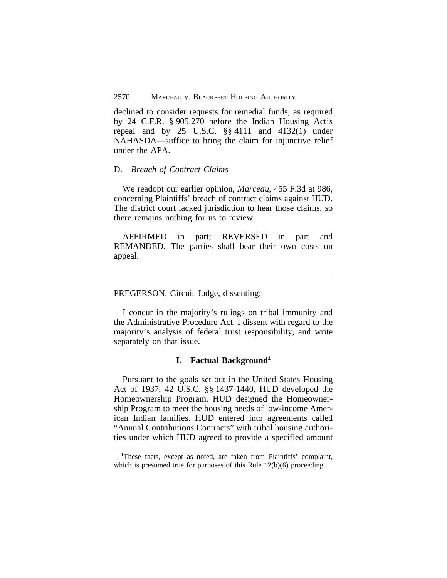declined to consider requests for remedial funds, as required by 24 C.F.R. § 905.270 before the Indian Housing Act's repeal and by 25 U.S.C. §§ 4111 and 4132(1) under NAHASDA—suffice to bring the claim for injunctive relief under the APA.

#### D. *Breach of Contract Claims*

We readopt our earlier opinion, *Marceau*, 455 F.3d at 986, concerning Plaintiffs' breach of contract claims against HUD. The district court lacked jurisdiction to hear those claims, so there remains nothing for us to review.

AFFIRMED in part; REVERSED in part and REMANDED. The parties shall bear their own costs on appeal.

PREGERSON, Circuit Judge, dissenting:

I concur in the majority's rulings on tribal immunity and the Administrative Procedure Act. I dissent with regard to the majority's analysis of federal trust responsibility, and write separately on that issue.

# **I. Factual Background<sup>1</sup>**

Pursuant to the goals set out in the United States Housing Act of 1937, 42 U.S.C. §§ 1437-1440, HUD developed the Homeownership Program. HUD designed the Homeownership Program to meet the housing needs of low-income American Indian families. HUD entered into agreements called "Annual Contributions Contracts" with tribal housing authorities under which HUD agreed to provide a specified amount

<sup>&</sup>lt;sup>1</sup>These facts, except as noted, are taken from Plaintiffs' complaint, which is presumed true for purposes of this Rule 12(b)(6) proceeding.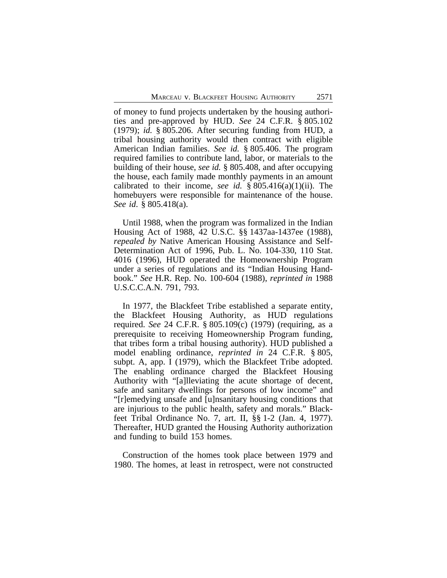of money to fund projects undertaken by the housing authorities and pre-approved by HUD. *See* 24 C.F.R. § 805.102 (1979); *id.* § 805.206. After securing funding from HUD, a tribal housing authority would then contract with eligible American Indian families. *See id.* § 805.406. The program required families to contribute land, labor, or materials to the building of their house, *see id.* § 805.408, and after occupying the house, each family made monthly payments in an amount calibrated to their income, *see id.*  $\S 805.416(a)(1)(ii)$ . The homebuyers were responsible for maintenance of the house. *See id*. § 805.418(a).

Until 1988, when the program was formalized in the Indian Housing Act of 1988, 42 U.S.C. §§ 1437aa-1437ee (1988), *repealed by* Native American Housing Assistance and Self-Determination Act of 1996, Pub. L. No. 104-330, 110 Stat. 4016 (1996), HUD operated the Homeownership Program under a series of regulations and its "Indian Housing Handbook." *See* H.R. Rep. No. 100-604 (1988), *reprinted in* 1988 U.S.C.C.A.N. 791, 793.

In 1977, the Blackfeet Tribe established a separate entity, the Blackfeet Housing Authority, as HUD regulations required. *See* 24 C.F.R. § 805.109(c) (1979) (requiring, as a prerequisite to receiving Homeownership Program funding, that tribes form a tribal housing authority). HUD published a model enabling ordinance, *reprinted in* 24 C.F.R. § 805, subpt. A, app. I (1979), which the Blackfeet Tribe adopted. The enabling ordinance charged the Blackfeet Housing Authority with "[a]lleviating the acute shortage of decent, safe and sanitary dwellings for persons of low income" and "[r]emedying unsafe and [u]nsanitary housing conditions that are injurious to the public health, safety and morals." Blackfeet Tribal Ordinance No. 7, art. II, §§ 1-2 (Jan. 4, 1977). Thereafter, HUD granted the Housing Authority authorization and funding to build 153 homes.

Construction of the homes took place between 1979 and 1980. The homes, at least in retrospect, were not constructed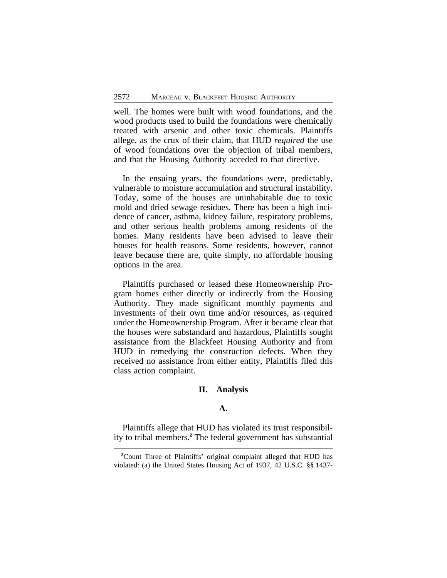well. The homes were built with wood foundations, and the wood products used to build the foundations were chemically treated with arsenic and other toxic chemicals. Plaintiffs allege, as the crux of their claim, that HUD *required* the use of wood foundations over the objection of tribal members, and that the Housing Authority acceded to that directive.

In the ensuing years, the foundations were, predictably, vulnerable to moisture accumulation and structural instability. Today, some of the houses are uninhabitable due to toxic mold and dried sewage residues. There has been a high incidence of cancer, asthma, kidney failure, respiratory problems, and other serious health problems among residents of the homes. Many residents have been advised to leave their houses for health reasons. Some residents, however, cannot leave because there are, quite simply, no affordable housing options in the area.

Plaintiffs purchased or leased these Homeownership Program homes either directly or indirectly from the Housing Authority. They made significant monthly payments and investments of their own time and/or resources, as required under the Homeownership Program. After it became clear that the houses were substandard and hazardous, Plaintiffs sought assistance from the Blackfeet Housing Authority and from HUD in remedying the construction defects. When they received no assistance from either entity, Plaintiffs filed this class action complaint.

# **II. Analysis**

# **A.**

Plaintiffs allege that HUD has violated its trust responsibility to tribal members.**<sup>2</sup>** The federal government has substantial

**<sup>2</sup>**Count Three of Plaintiffs' original complaint alleged that HUD has violated: (a) the United States Housing Act of 1937, 42 U.S.C. §§ 1437-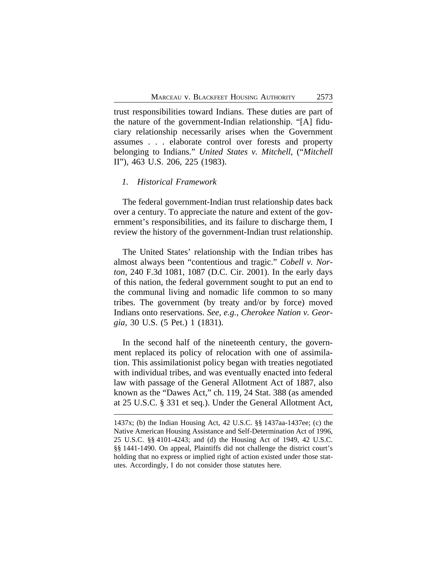trust responsibilities toward Indians. These duties are part of the nature of the government-Indian relationship. "[A] fiduciary relationship necessarily arises when the Government assumes . . . elaborate control over forests and property belonging to Indians." *United States v. Mitchell*, ("*Mitchell* II"), 463 U.S. 206, 225 (1983).

# *1. Historical Framework*

The federal government-Indian trust relationship dates back over a century. To appreciate the nature and extent of the government's responsibilities, and its failure to discharge them, I review the history of the government-Indian trust relationship.

The United States' relationship with the Indian tribes has almost always been "contentious and tragic." *Cobell v. Norton*, 240 F.3d 1081, 1087 (D.C. Cir. 2001). In the early days of this nation, the federal government sought to put an end to the communal living and nomadic life common to so many tribes. The government (by treaty and/or by force) moved Indians onto reservations. *See, e.g., Cherokee Nation v. Georgia*, 30 U.S. (5 Pet.) 1 (1831).

In the second half of the nineteenth century, the government replaced its policy of relocation with one of assimilation. This assimilationist policy began with treaties negotiated with individual tribes, and was eventually enacted into federal law with passage of the General Allotment Act of 1887, also known as the "Dawes Act," ch. 119, 24 Stat. 388 (as amended at 25 U.S.C. § 331 et seq.). Under the General Allotment Act,

<sup>1437</sup>x; (b) the Indian Housing Act, 42 U.S.C. §§ 1437aa-1437ee; (c) the Native American Housing Assistance and Self-Determination Act of 1996, 25 U.S.C. §§ 4101-4243; and (d) the Housing Act of 1949, 42 U.S.C. §§ 1441-1490. On appeal, Plaintiffs did not challenge the district court's holding that no express or implied right of action existed under those statutes. Accordingly, I do not consider those statutes here.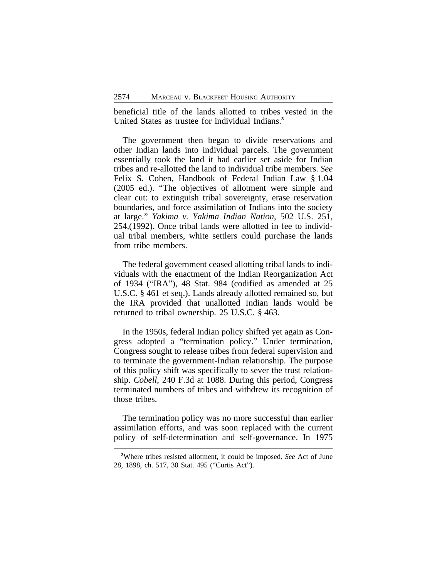beneficial title of the lands allotted to tribes vested in the United States as trustee for individual Indians.**<sup>3</sup>**

The government then began to divide reservations and other Indian lands into individual parcels. The government essentially took the land it had earlier set aside for Indian tribes and re-allotted the land to individual tribe members. *See* Felix S. Cohen, Handbook of Federal Indian Law § 1.04 (2005 ed.). "The objectives of allotment were simple and clear cut: to extinguish tribal sovereignty, erase reservation boundaries, and force assimilation of Indians into the society at large." *Yakima v. Yakima Indian Nation*, 502 U.S. 251, 254,(1992). Once tribal lands were allotted in fee to individual tribal members, white settlers could purchase the lands from tribe members.

The federal government ceased allotting tribal lands to individuals with the enactment of the Indian Reorganization Act of 1934 ("IRA"), 48 Stat. 984 (codified as amended at 25 U.S.C. § 461 et seq.). Lands already allotted remained so, but the IRA provided that unallotted Indian lands would be returned to tribal ownership. 25 U.S.C. § 463.

In the 1950s, federal Indian policy shifted yet again as Congress adopted a "termination policy." Under termination, Congress sought to release tribes from federal supervision and to terminate the government-Indian relationship. The purpose of this policy shift was specifically to sever the trust relationship. *Cobell*, 240 F.3d at 1088. During this period, Congress terminated numbers of tribes and withdrew its recognition of those tribes.

The termination policy was no more successful than earlier assimilation efforts, and was soon replaced with the current policy of self-determination and self-governance. In 1975

**<sup>3</sup>**Where tribes resisted allotment, it could be imposed. *See* Act of June 28, 1898, ch. 517, 30 Stat. 495 ("Curtis Act").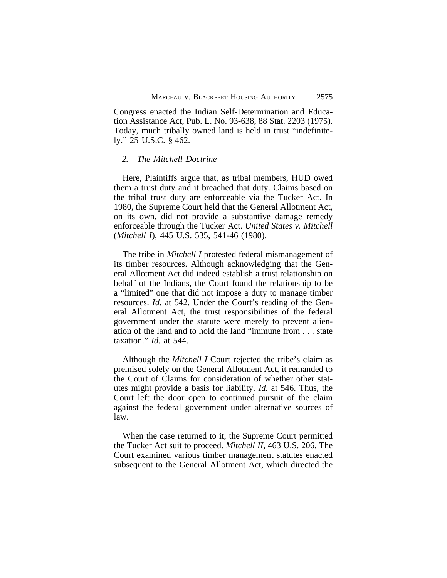Congress enacted the Indian Self-Determination and Education Assistance Act, Pub. L. No. 93-638, 88 Stat. 2203 (1975). Today, much tribally owned land is held in trust "indefinitely." 25 U.S.C. § 462.

#### *2. The Mitchell Doctrine*

Here, Plaintiffs argue that, as tribal members, HUD owed them a trust duty and it breached that duty. Claims based on the tribal trust duty are enforceable via the Tucker Act. In 1980, the Supreme Court held that the General Allotment Act, on its own, did not provide a substantive damage remedy enforceable through the Tucker Act. *United States v. Mitchell* (*Mitchell I*), 445 U.S. 535, 541-46 (1980).

The tribe in *Mitchell I* protested federal mismanagement of its timber resources. Although acknowledging that the General Allotment Act did indeed establish a trust relationship on behalf of the Indians, the Court found the relationship to be a "limited" one that did not impose a duty to manage timber resources. *Id.* at 542. Under the Court's reading of the General Allotment Act, the trust responsibilities of the federal government under the statute were merely to prevent alienation of the land and to hold the land "immune from . . . state taxation." *Id.* at 544.

Although the *Mitchell I* Court rejected the tribe's claim as premised solely on the General Allotment Act, it remanded to the Court of Claims for consideration of whether other statutes might provide a basis for liability. *Id.* at 546. Thus, the Court left the door open to continued pursuit of the claim against the federal government under alternative sources of law.

When the case returned to it, the Supreme Court permitted the Tucker Act suit to proceed. *Mitchell II*, 463 U.S. 206. The Court examined various timber management statutes enacted subsequent to the General Allotment Act, which directed the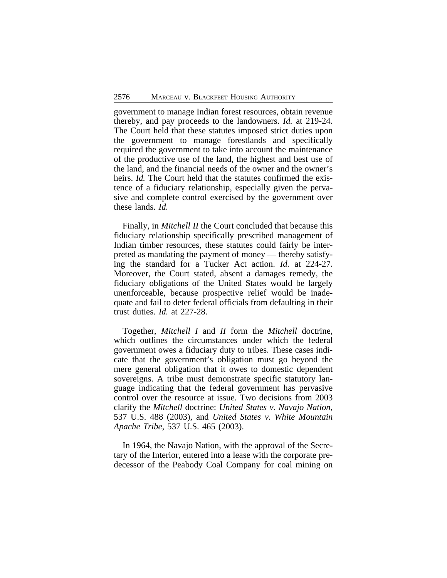government to manage Indian forest resources, obtain revenue thereby, and pay proceeds to the landowners. *Id.* at 219-24. The Court held that these statutes imposed strict duties upon the government to manage forestlands and specifically required the government to take into account the maintenance of the productive use of the land, the highest and best use of the land, and the financial needs of the owner and the owner's heirs. *Id.* The Court held that the statutes confirmed the existence of a fiduciary relationship, especially given the pervasive and complete control exercised by the government over these lands. *Id.*

Finally, in *Mitchell II* the Court concluded that because this fiduciary relationship specifically prescribed management of Indian timber resources, these statutes could fairly be interpreted as mandating the payment of money — thereby satisfying the standard for a Tucker Act action. *Id.* at 224-27. Moreover, the Court stated, absent a damages remedy, the fiduciary obligations of the United States would be largely unenforceable, because prospective relief would be inadequate and fail to deter federal officials from defaulting in their trust duties. *Id.* at 227-28.

Together, *Mitchell I* and *II* form the *Mitchell* doctrine, which outlines the circumstances under which the federal government owes a fiduciary duty to tribes. These cases indicate that the government's obligation must go beyond the mere general obligation that it owes to domestic dependent sovereigns. A tribe must demonstrate specific statutory language indicating that the federal government has pervasive control over the resource at issue. Two decisions from 2003 clarify the *Mitchell* doctrine: *United States v. Navajo Nation*, 537 U.S. 488 (2003), and *United States v. White Mountain Apache Tribe*, 537 U.S. 465 (2003).

In 1964, the Navajo Nation, with the approval of the Secretary of the Interior, entered into a lease with the corporate predecessor of the Peabody Coal Company for coal mining on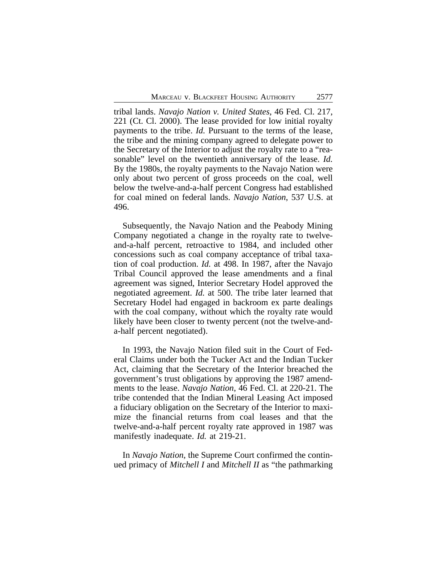tribal lands. *Navajo Nation v. United States*, 46 Fed. Cl. 217, 221 (Ct. Cl. 2000). The lease provided for low initial royalty payments to the tribe. *Id.* Pursuant to the terms of the lease, the tribe and the mining company agreed to delegate power to the Secretary of the Interior to adjust the royalty rate to a "reasonable" level on the twentieth anniversary of the lease. *Id.* By the 1980s, the royalty payments to the Navajo Nation were only about two percent of gross proceeds on the coal, well below the twelve-and-a-half percent Congress had established for coal mined on federal lands. *Navajo Nation*, 537 U.S. at 496.

Subsequently, the Navajo Nation and the Peabody Mining Company negotiated a change in the royalty rate to twelveand-a-half percent, retroactive to 1984, and included other concessions such as coal company acceptance of tribal taxation of coal production. *Id.* at 498. In 1987, after the Navajo Tribal Council approved the lease amendments and a final agreement was signed, Interior Secretary Hodel approved the negotiated agreement. *Id.* at 500. The tribe later learned that Secretary Hodel had engaged in backroom ex parte dealings with the coal company, without which the royalty rate would likely have been closer to twenty percent (not the twelve-anda-half percent negotiated).

In 1993, the Navajo Nation filed suit in the Court of Federal Claims under both the Tucker Act and the Indian Tucker Act, claiming that the Secretary of the Interior breached the government's trust obligations by approving the 1987 amendments to the lease. *Navajo Nation*, 46 Fed. Cl. at 220-21. The tribe contended that the Indian Mineral Leasing Act imposed a fiduciary obligation on the Secretary of the Interior to maximize the financial returns from coal leases and that the twelve-and-a-half percent royalty rate approved in 1987 was manifestly inadequate. *Id.* at 219-21.

In *Navajo Nation*, the Supreme Court confirmed the continued primacy of *Mitchell I* and *Mitchell II* as "the pathmarking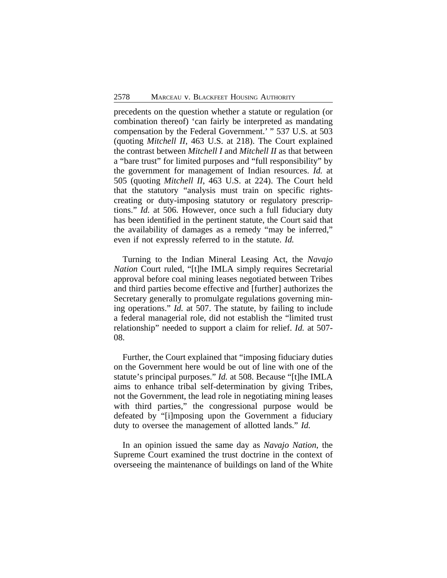precedents on the question whether a statute or regulation (or combination thereof) 'can fairly be interpreted as mandating compensation by the Federal Government.' " 537 U.S. at 503 (quoting *Mitchell II*, 463 U.S. at 218). The Court explained the contrast between *Mitchell I* and *Mitchell II* as that between a "bare trust" for limited purposes and "full responsibility" by the government for management of Indian resources. *Id.* at 505 (quoting *Mitchell II*, 463 U.S. at 224). The Court held that the statutory "analysis must train on specific rightscreating or duty-imposing statutory or regulatory prescriptions." *Id.* at 506. However, once such a full fiduciary duty has been identified in the pertinent statute, the Court said that the availability of damages as a remedy "may be inferred," even if not expressly referred to in the statute. *Id.*

Turning to the Indian Mineral Leasing Act, the *Navajo Nation* Court ruled, "[t]he IMLA simply requires Secretarial approval before coal mining leases negotiated between Tribes and third parties become effective and [further] authorizes the Secretary generally to promulgate regulations governing mining operations." *Id.* at 507. The statute, by failing to include a federal managerial role, did not establish the "limited trust relationship" needed to support a claim for relief. *Id.* at 507- 08.

Further, the Court explained that "imposing fiduciary duties on the Government here would be out of line with one of the statute's principal purposes." *Id.* at 508. Because "[t]he IMLA aims to enhance tribal self-determination by giving Tribes, not the Government, the lead role in negotiating mining leases with third parties," the congressional purpose would be defeated by "[i]mposing upon the Government a fiduciary duty to oversee the management of allotted lands." *Id.*

In an opinion issued the same day as *Navajo Nation*, the Supreme Court examined the trust doctrine in the context of overseeing the maintenance of buildings on land of the White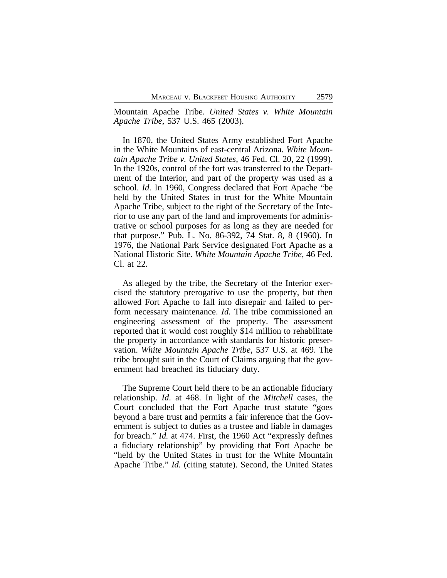Mountain Apache Tribe. *United States v. White Mountain Apache Tribe*, 537 U.S. 465 (2003).

In 1870, the United States Army established Fort Apache in the White Mountains of east-central Arizona. *White Mountain Apache Tribe v. United States*, 46 Fed. Cl. 20, 22 (1999). In the 1920s, control of the fort was transferred to the Department of the Interior, and part of the property was used as a school. *Id.* In 1960, Congress declared that Fort Apache "be held by the United States in trust for the White Mountain Apache Tribe, subject to the right of the Secretary of the Interior to use any part of the land and improvements for administrative or school purposes for as long as they are needed for that purpose." Pub. L. No. 86-392, 74 Stat. 8, 8 (1960). In 1976, the National Park Service designated Fort Apache as a National Historic Site. *White Mountain Apache Tribe*, 46 Fed. Cl. at 22.

As alleged by the tribe, the Secretary of the Interior exercised the statutory prerogative to use the property, but then allowed Fort Apache to fall into disrepair and failed to perform necessary maintenance. *Id.* The tribe commissioned an engineering assessment of the property. The assessment reported that it would cost roughly \$14 million to rehabilitate the property in accordance with standards for historic preservation. *White Mountain Apache Tribe*, 537 U.S. at 469. The tribe brought suit in the Court of Claims arguing that the government had breached its fiduciary duty.

The Supreme Court held there to be an actionable fiduciary relationship. *Id*. at 468. In light of the *Mitchell* cases, the Court concluded that the Fort Apache trust statute "goes beyond a bare trust and permits a fair inference that the Government is subject to duties as a trustee and liable in damages for breach." *Id.* at 474. First, the 1960 Act "expressly defines a fiduciary relationship" by providing that Fort Apache be "held by the United States in trust for the White Mountain Apache Tribe." *Id.* (citing statute). Second, the United States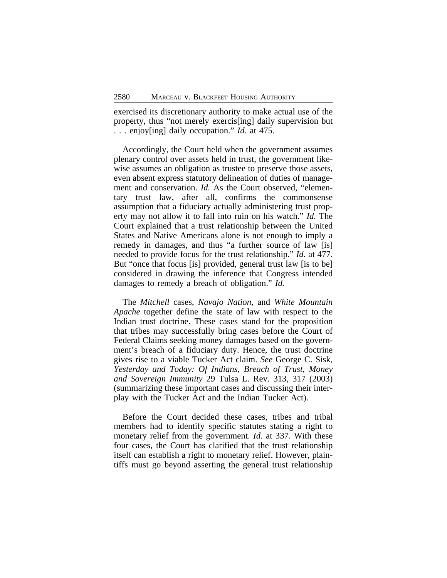exercised its discretionary authority to make actual use of the property, thus "not merely exercis[ing] daily supervision but . . . enjoy[ing] daily occupation." *Id.* at 475.

Accordingly, the Court held when the government assumes plenary control over assets held in trust, the government likewise assumes an obligation as trustee to preserve those assets, even absent express statutory delineation of duties of management and conservation. *Id.* As the Court observed, "elementary trust law, after all, confirms the commonsense assumption that a fiduciary actually administering trust property may not allow it to fall into ruin on his watch." *Id.* The Court explained that a trust relationship between the United States and Native Americans alone is not enough to imply a remedy in damages, and thus "a further source of law [is] needed to provide focus for the trust relationship." *Id.* at 477. But "once that focus [is] provided, general trust law [is to be] considered in drawing the inference that Congress intended damages to remedy a breach of obligation." *Id.*

The *Mitchell* cases, *Navajo Nation*, and *White Mountain Apache* together define the state of law with respect to the Indian trust doctrine. These cases stand for the proposition that tribes may successfully bring cases before the Court of Federal Claims seeking money damages based on the government's breach of a fiduciary duty. Hence, the trust doctrine gives rise to a viable Tucker Act claim. *See* George C. Sisk*, Yesterday and Today: Of Indians, Breach of Trust, Money and Sovereign Immunity* 29 Tulsa L. Rev. 313, 317 (2003) (summarizing these important cases and discussing their interplay with the Tucker Act and the Indian Tucker Act).

Before the Court decided these cases, tribes and tribal members had to identify specific statutes stating a right to monetary relief from the government. *Id.* at 337. With these four cases, the Court has clarified that the trust relationship itself can establish a right to monetary relief. However, plaintiffs must go beyond asserting the general trust relationship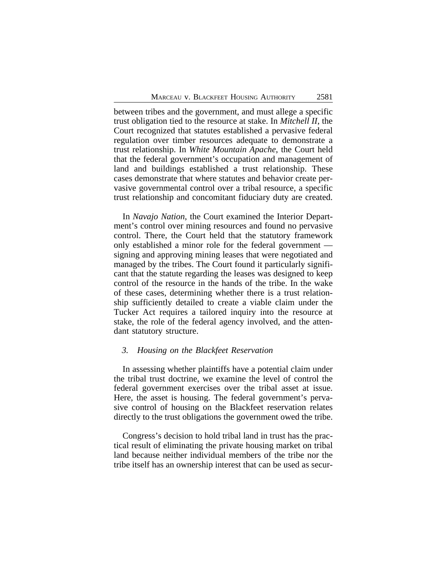between tribes and the government, and must allege a specific trust obligation tied to the resource at stake. In *Mitchell II*, the Court recognized that statutes established a pervasive federal regulation over timber resources adequate to demonstrate a trust relationship. In *White Mountain Apache*, the Court held that the federal government's occupation and management of land and buildings established a trust relationship. These cases demonstrate that where statutes and behavior create pervasive governmental control over a tribal resource, a specific trust relationship and concomitant fiduciary duty are created.

In *Navajo Nation*, the Court examined the Interior Department's control over mining resources and found no pervasive control. There, the Court held that the statutory framework only established a minor role for the federal government signing and approving mining leases that were negotiated and managed by the tribes. The Court found it particularly significant that the statute regarding the leases was designed to keep control of the resource in the hands of the tribe. In the wake of these cases, determining whether there is a trust relationship sufficiently detailed to create a viable claim under the Tucker Act requires a tailored inquiry into the resource at stake, the role of the federal agency involved, and the attendant statutory structure.

#### *3. Housing on the Blackfeet Reservation*

In assessing whether plaintiffs have a potential claim under the tribal trust doctrine, we examine the level of control the federal government exercises over the tribal asset at issue. Here, the asset is housing. The federal government's pervasive control of housing on the Blackfeet reservation relates directly to the trust obligations the government owed the tribe.

Congress's decision to hold tribal land in trust has the practical result of eliminating the private housing market on tribal land because neither individual members of the tribe nor the tribe itself has an ownership interest that can be used as secur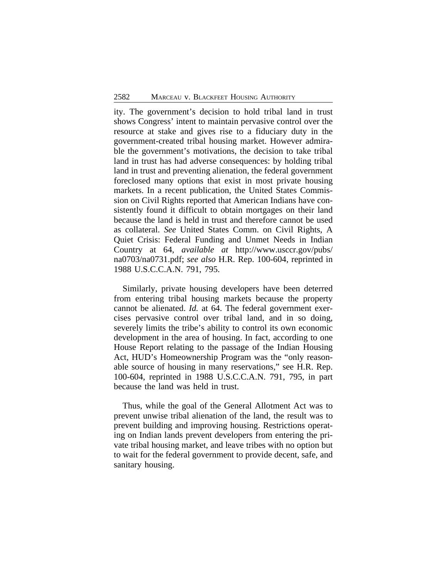ity. The government's decision to hold tribal land in trust shows Congress' intent to maintain pervasive control over the resource at stake and gives rise to a fiduciary duty in the government-created tribal housing market. However admirable the government's motivations, the decision to take tribal land in trust has had adverse consequences: by holding tribal land in trust and preventing alienation, the federal government foreclosed many options that exist in most private housing markets. In a recent publication, the United States Commission on Civil Rights reported that American Indians have consistently found it difficult to obtain mortgages on their land because the land is held in trust and therefore cannot be used as collateral. *See* United States Comm. on Civil Rights, A Quiet Crisis: Federal Funding and Unmet Needs in Indian Country at 64, *available at* http://www.usccr.gov/pubs/ na0703/na0731.pdf; *see also* H.R. Rep. 100-604, reprinted in 1988 U.S.C.C.A.N. 791, 795.

Similarly, private housing developers have been deterred from entering tribal housing markets because the property cannot be alienated. *Id.* at 64. The federal government exercises pervasive control over tribal land, and in so doing, severely limits the tribe's ability to control its own economic development in the area of housing. In fact, according to one House Report relating to the passage of the Indian Housing Act, HUD's Homeownership Program was the "only reasonable source of housing in many reservations," see H.R. Rep. 100-604, reprinted in 1988 U.S.C.C.A.N. 791, 795, in part because the land was held in trust.

Thus, while the goal of the General Allotment Act was to prevent unwise tribal alienation of the land, the result was to prevent building and improving housing. Restrictions operating on Indian lands prevent developers from entering the private tribal housing market, and leave tribes with no option but to wait for the federal government to provide decent, safe, and sanitary housing.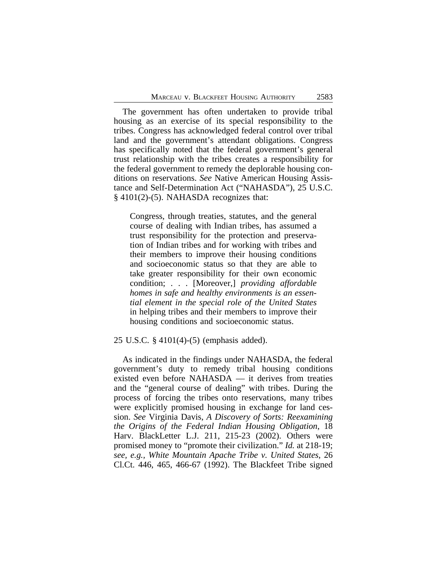The government has often undertaken to provide tribal housing as an exercise of its special responsibility to the tribes. Congress has acknowledged federal control over tribal land and the government's attendant obligations. Congress has specifically noted that the federal government's general trust relationship with the tribes creates a responsibility for the federal government to remedy the deplorable housing conditions on reservations. *See* Native American Housing Assistance and Self-Determination Act ("NAHASDA"), 25 U.S.C. § 4101(2)-(5). NAHASDA recognizes that:

Congress, through treaties, statutes, and the general course of dealing with Indian tribes, has assumed a trust responsibility for the protection and preservation of Indian tribes and for working with tribes and their members to improve their housing conditions and socioeconomic status so that they are able to take greater responsibility for their own economic condition; . . . [Moreover,] *providing affordable homes in safe and healthy environments is an essential element in the special role of the United States* in helping tribes and their members to improve their housing conditions and socioeconomic status.

# 25 U.S.C. § 4101(4)-(5) (emphasis added).

As indicated in the findings under NAHASDA, the federal government's duty to remedy tribal housing conditions existed even before NAHASDA — it derives from treaties and the "general course of dealing" with tribes. During the process of forcing the tribes onto reservations, many tribes were explicitly promised housing in exchange for land cession. *See* Virginia Davis, *A Discovery of Sorts: Reexamining the Origins of the Federal Indian Housing Obligation*, 18 Harv. BlackLetter L.J. 211, 215-23 (2002). Others were promised money to "promote their civilization." *Id.* at 218-19; *see, e.g., White Mountain Apache Tribe v. United States*, 26 Cl.Ct. 446, 465, 466-67 (1992). The Blackfeet Tribe signed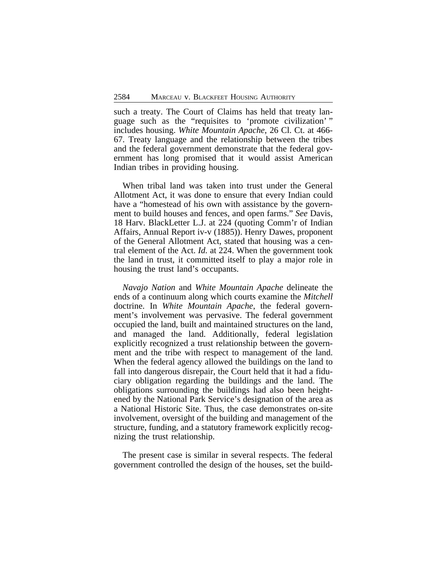such a treaty. The Court of Claims has held that treaty language such as the "requisites to 'promote civilization' " includes housing. *White Mountain Apache*, 26 Cl. Ct. at 466- 67. Treaty language and the relationship between the tribes and the federal government demonstrate that the federal government has long promised that it would assist American Indian tribes in providing housing.

When tribal land was taken into trust under the General Allotment Act, it was done to ensure that every Indian could have a "homestead of his own with assistance by the government to build houses and fences, and open farms." *See* Davis, 18 Harv. BlackLetter L.J. at 224 (quoting Comm'r of Indian Affairs, Annual Report iv-v (1885)). Henry Dawes, proponent of the General Allotment Act, stated that housing was a central element of the Act. *Id.* at 224. When the government took the land in trust, it committed itself to play a major role in housing the trust land's occupants.

*Navajo Nation* and *White Mountain Apache* delineate the ends of a continuum along which courts examine the *Mitchell* doctrine. In *White Mountain Apache*, the federal government's involvement was pervasive. The federal government occupied the land, built and maintained structures on the land, and managed the land. Additionally, federal legislation explicitly recognized a trust relationship between the government and the tribe with respect to management of the land. When the federal agency allowed the buildings on the land to fall into dangerous disrepair, the Court held that it had a fiduciary obligation regarding the buildings and the land. The obligations surrounding the buildings had also been heightened by the National Park Service's designation of the area as a National Historic Site. Thus, the case demonstrates on-site involvement, oversight of the building and management of the structure, funding, and a statutory framework explicitly recognizing the trust relationship.

The present case is similar in several respects. The federal government controlled the design of the houses, set the build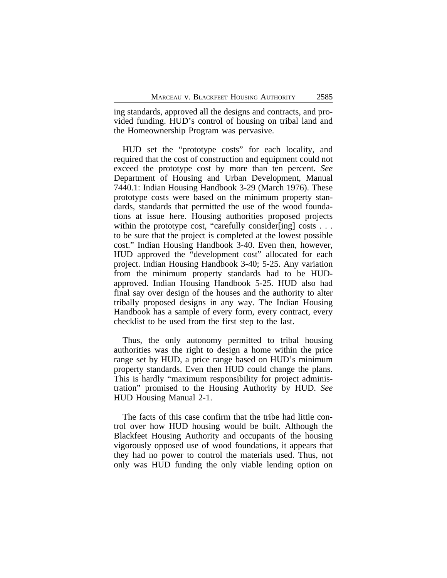ing standards, approved all the designs and contracts, and provided funding. HUD's control of housing on tribal land and the Homeownership Program was pervasive.

HUD set the "prototype costs" for each locality, and required that the cost of construction and equipment could not exceed the prototype cost by more than ten percent. *See* Department of Housing and Urban Development, Manual 7440.1: Indian Housing Handbook 3-29 (March 1976). These prototype costs were based on the minimum property standards, standards that permitted the use of the wood foundations at issue here. Housing authorities proposed projects within the prototype cost, "carefully consider[ing] costs . . . to be sure that the project is completed at the lowest possible cost." Indian Housing Handbook 3-40. Even then, however, HUD approved the "development cost" allocated for each project. Indian Housing Handbook 3-40; 5-25. Any variation from the minimum property standards had to be HUDapproved. Indian Housing Handbook 5-25. HUD also had final say over design of the houses and the authority to alter tribally proposed designs in any way. The Indian Housing Handbook has a sample of every form, every contract, every checklist to be used from the first step to the last.

Thus, the only autonomy permitted to tribal housing authorities was the right to design a home within the price range set by HUD, a price range based on HUD's minimum property standards. Even then HUD could change the plans. This is hardly "maximum responsibility for project administration" promised to the Housing Authority by HUD. *See* HUD Housing Manual 2-1.

The facts of this case confirm that the tribe had little control over how HUD housing would be built. Although the Blackfeet Housing Authority and occupants of the housing vigorously opposed use of wood foundations, it appears that they had no power to control the materials used. Thus, not only was HUD funding the only viable lending option on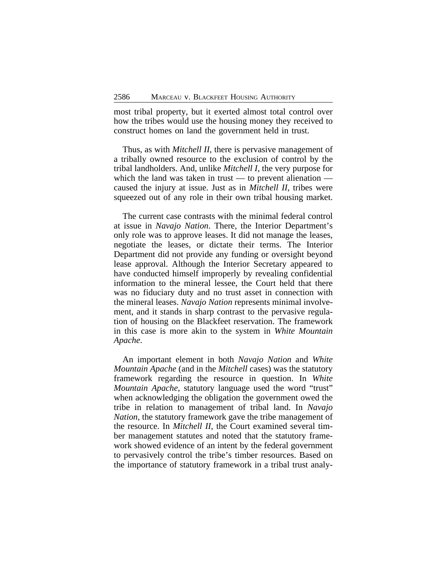most tribal property, but it exerted almost total control over how the tribes would use the housing money they received to construct homes on land the government held in trust.

Thus, as with *Mitchell II*, there is pervasive management of a tribally owned resource to the exclusion of control by the tribal landholders. And, unlike *Mitchell I*, the very purpose for which the land was taken in trust — to prevent alienation caused the injury at issue. Just as in *Mitchell II*, tribes were squeezed out of any role in their own tribal housing market.

The current case contrasts with the minimal federal control at issue in *Navajo Nation*. There, the Interior Department's only role was to approve leases. It did not manage the leases, negotiate the leases, or dictate their terms. The Interior Department did not provide any funding or oversight beyond lease approval. Although the Interior Secretary appeared to have conducted himself improperly by revealing confidential information to the mineral lessee, the Court held that there was no fiduciary duty and no trust asset in connection with the mineral leases. *Navajo Nation* represents minimal involvement, and it stands in sharp contrast to the pervasive regulation of housing on the Blackfeet reservation. The framework in this case is more akin to the system in *White Mountain Apache*.

An important element in both *Navajo Nation* and *White Mountain Apache* (and in the *Mitchell* cases) was the statutory framework regarding the resource in question. In *White Mountain Apache*, statutory language used the word "trust" when acknowledging the obligation the government owed the tribe in relation to management of tribal land. In *Navajo Nation*, the statutory framework gave the tribe management of the resource. In *Mitchell II*, the Court examined several timber management statutes and noted that the statutory framework showed evidence of an intent by the federal government to pervasively control the tribe's timber resources. Based on the importance of statutory framework in a tribal trust analy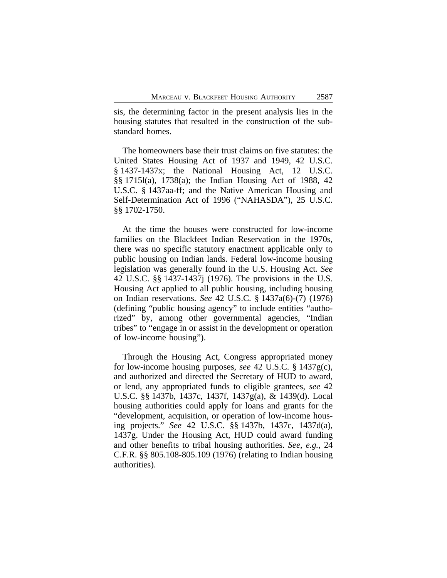sis, the determining factor in the present analysis lies in the housing statutes that resulted in the construction of the substandard homes.

The homeowners base their trust claims on five statutes: the United States Housing Act of 1937 and 1949, 42 U.S.C. § 1437-1437x; the National Housing Act, 12 U.S.C. §§ 1715l(a), 1738(a); the Indian Housing Act of 1988, 42 U.S.C. § 1437aa-ff; and the Native American Housing and Self-Determination Act of 1996 ("NAHASDA"), 25 U.S.C. §§ 1702-1750.

At the time the houses were constructed for low-income families on the Blackfeet Indian Reservation in the 1970s, there was no specific statutory enactment applicable only to public housing on Indian lands. Federal low-income housing legislation was generally found in the U.S. Housing Act. *See* 42 U.S.C. §§ 1437-1437j (1976). The provisions in the U.S. Housing Act applied to all public housing, including housing on Indian reservations. *See* 42 U.S.C. § 1437a(6)-(7) (1976) (defining "public housing agency" to include entities "authorized" by, among other governmental agencies, "Indian tribes" to "engage in or assist in the development or operation of low-income housing").

Through the Housing Act, Congress appropriated money for low-income housing purposes, *see* 42 U.S.C. § 1437g(c), and authorized and directed the Secretary of HUD to award, or lend, any appropriated funds to eligible grantees, *see* 42 U.S.C. §§ 1437b, 1437c, 1437f, 1437g(a), & 1439(d). Local housing authorities could apply for loans and grants for the "development, acquisition, or operation of low-income housing projects." *See* 42 U.S.C. §§ 1437b, 1437c, 1437d(a), 1437g. Under the Housing Act, HUD could award funding and other benefits to tribal housing authorities. *See, e.g.*, 24 C.F.R. §§ 805.108-805.109 (1976) (relating to Indian housing authorities).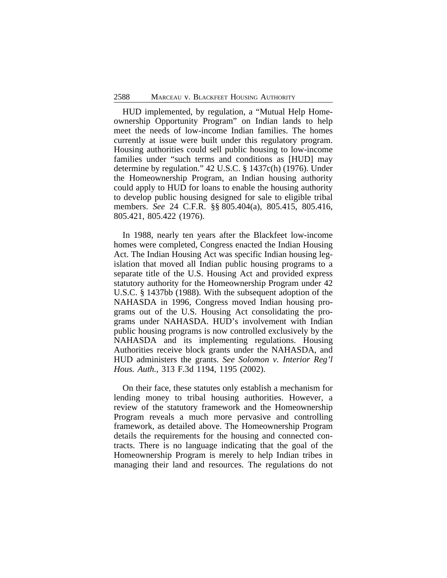HUD implemented, by regulation, a "Mutual Help Homeownership Opportunity Program" on Indian lands to help meet the needs of low-income Indian families. The homes currently at issue were built under this regulatory program. Housing authorities could sell public housing to low-income families under "such terms and conditions as [HUD] may determine by regulation." 42 U.S.C. § 1437c(h) (1976). Under the Homeownership Program, an Indian housing authority could apply to HUD for loans to enable the housing authority to develop public housing designed for sale to eligible tribal members. *See* 24 C.F.R. §§ 805.404(a), 805.415, 805.416, 805.421, 805.422 (1976).

In 1988, nearly ten years after the Blackfeet low-income homes were completed, Congress enacted the Indian Housing Act. The Indian Housing Act was specific Indian housing legislation that moved all Indian public housing programs to a separate title of the U.S. Housing Act and provided express statutory authority for the Homeownership Program under 42 U.S.C. § 1437bb (1988). With the subsequent adoption of the NAHASDA in 1996, Congress moved Indian housing programs out of the U.S. Housing Act consolidating the programs under NAHASDA. HUD's involvement with Indian public housing programs is now controlled exclusively by the NAHASDA and its implementing regulations. Housing Authorities receive block grants under the NAHASDA, and HUD administers the grants. *See Solomon v. Interior Reg'l Hous. Auth.*, 313 F.3d 1194, 1195 (2002).

On their face, these statutes only establish a mechanism for lending money to tribal housing authorities. However, a review of the statutory framework and the Homeownership Program reveals a much more pervasive and controlling framework, as detailed above. The Homeownership Program details the requirements for the housing and connected contracts. There is no language indicating that the goal of the Homeownership Program is merely to help Indian tribes in managing their land and resources. The regulations do not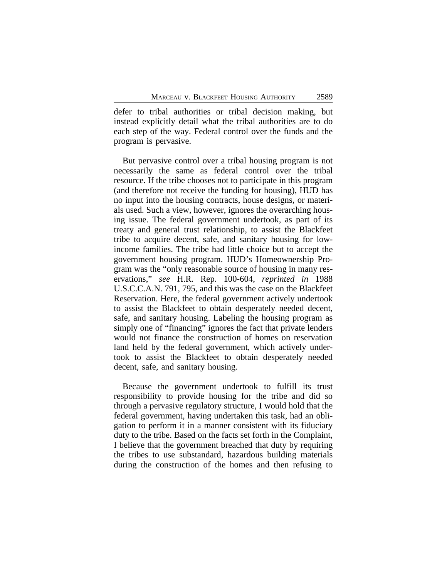defer to tribal authorities or tribal decision making, but instead explicitly detail what the tribal authorities are to do each step of the way. Federal control over the funds and the program is pervasive.

But pervasive control over a tribal housing program is not necessarily the same as federal control over the tribal resource. If the tribe chooses not to participate in this program (and therefore not receive the funding for housing), HUD has no input into the housing contracts, house designs, or materials used. Such a view, however, ignores the overarching housing issue. The federal government undertook, as part of its treaty and general trust relationship, to assist the Blackfeet tribe to acquire decent, safe, and sanitary housing for lowincome families. The tribe had little choice but to accept the government housing program. HUD's Homeownership Program was the "only reasonable source of housing in many reservations," *see* H.R. Rep. 100-604, *reprinted in* 1988 U.S.C.C.A.N. 791, 795, and this was the case on the Blackfeet Reservation. Here, the federal government actively undertook to assist the Blackfeet to obtain desperately needed decent, safe, and sanitary housing. Labeling the housing program as simply one of "financing" ignores the fact that private lenders would not finance the construction of homes on reservation land held by the federal government, which actively undertook to assist the Blackfeet to obtain desperately needed decent, safe, and sanitary housing.

Because the government undertook to fulfill its trust responsibility to provide housing for the tribe and did so through a pervasive regulatory structure, I would hold that the federal government, having undertaken this task, had an obligation to perform it in a manner consistent with its fiduciary duty to the tribe. Based on the facts set forth in the Complaint, I believe that the government breached that duty by requiring the tribes to use substandard, hazardous building materials during the construction of the homes and then refusing to